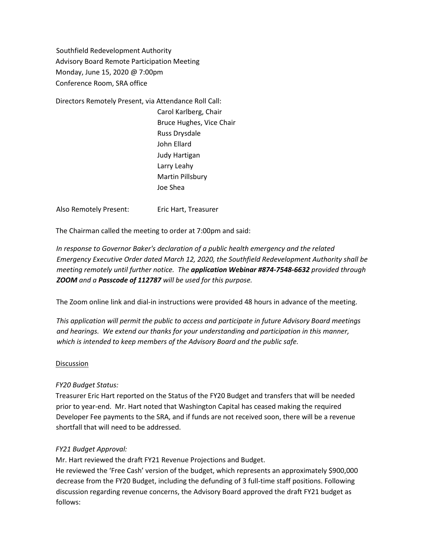Southfield Redevelopment Authority Advisory Board Remote Participation Meeting Monday, June 15, 2020 @ 7:00pm Conference Room, SRA office

Directors Remotely Present, via Attendance Roll Call:

Carol Karlberg, Chair Bruce Hughes, Vice Chair Russ Drysdale John Ellard Judy Hartigan Larry Leahy Martin Pillsbury Joe Shea

Also Remotely Present: Eric Hart, Treasurer

The Chairman called the meeting to order at 7:00pm and said:

*In response to Governor Baker's declaration of a public health emergency and the related Emergency Executive Order dated March 12, 2020, the Southfield Redevelopment Authority shall be meeting remotely until further notice. The application Webinar #874-7548-6632 provided through ZOOM and a Passcode of 112787 will be used for this purpose.*

The Zoom online link and dial-in instructions were provided 48 hours in advance of the meeting.

*This application will permit the public to access and participate in future Advisory Board meetings and hearings. We extend our thanks for your understanding and participation in this manner, which is intended to keep members of the Advisory Board and the public safe.*

## Discussion

## *FY20 Budget Status:*

Treasurer Eric Hart reported on the Status of the FY20 Budget and transfers that will be needed prior to year-end. Mr. Hart noted that Washington Capital has ceased making the required Developer Fee payments to the SRA, and if funds are not received soon, there will be a revenue shortfall that will need to be addressed.

## *FY21 Budget Approval:*

Mr. Hart reviewed the draft FY21 Revenue Projections and Budget.

He reviewed the 'Free Cash' version of the budget, which represents an approximately \$900,000 decrease from the FY20 Budget, including the defunding of 3 full-time staff positions. Following discussion regarding revenue concerns, the Advisory Board approved the draft FY21 budget as follows: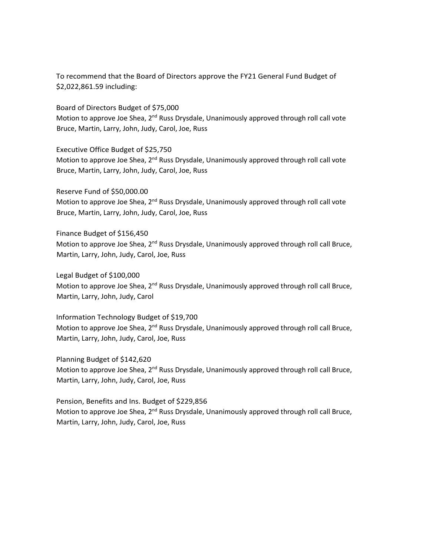To recommend that the Board of Directors approve the FY21 General Fund Budget of \$2,022,861.59 including:

Board of Directors Budget of \$75,000 Motion to approve Joe Shea,  $2<sup>nd</sup>$  Russ Drysdale, Unanimously approved through roll call vote Bruce, Martin, Larry, John, Judy, Carol, Joe, Russ

Executive Office Budget of \$25,750 Motion to approve Joe Shea,  $2<sup>nd</sup>$  Russ Drysdale, Unanimously approved through roll call vote Bruce, Martin, Larry, John, Judy, Carol, Joe, Russ

Reserve Fund of \$50,000.00 Motion to approve Joe Shea,  $2<sup>nd</sup>$  Russ Drysdale, Unanimously approved through roll call vote Bruce, Martin, Larry, John, Judy, Carol, Joe, Russ

Finance Budget of \$156,450 Motion to approve Joe Shea, 2<sup>nd</sup> Russ Drysdale, Unanimously approved through roll call Bruce, Martin, Larry, John, Judy, Carol, Joe, Russ

Legal Budget of \$100,000 Motion to approve Joe Shea, 2<sup>nd</sup> Russ Drysdale, Unanimously approved through roll call Bruce, Martin, Larry, John, Judy, Carol

Information Technology Budget of \$19,700 Motion to approve Joe Shea,  $2^{nd}$  Russ Drysdale, Unanimously approved through roll call Bruce, Martin, Larry, John, Judy, Carol, Joe, Russ

Planning Budget of \$142,620 Motion to approve Joe Shea, 2<sup>nd</sup> Russ Drysdale, Unanimously approved through roll call Bruce, Martin, Larry, John, Judy, Carol, Joe, Russ

Pension, Benefits and Ins. Budget of \$229,856 Motion to approve Joe Shea, 2<sup>nd</sup> Russ Drysdale, Unanimously approved through roll call Bruce, Martin, Larry, John, Judy, Carol, Joe, Russ